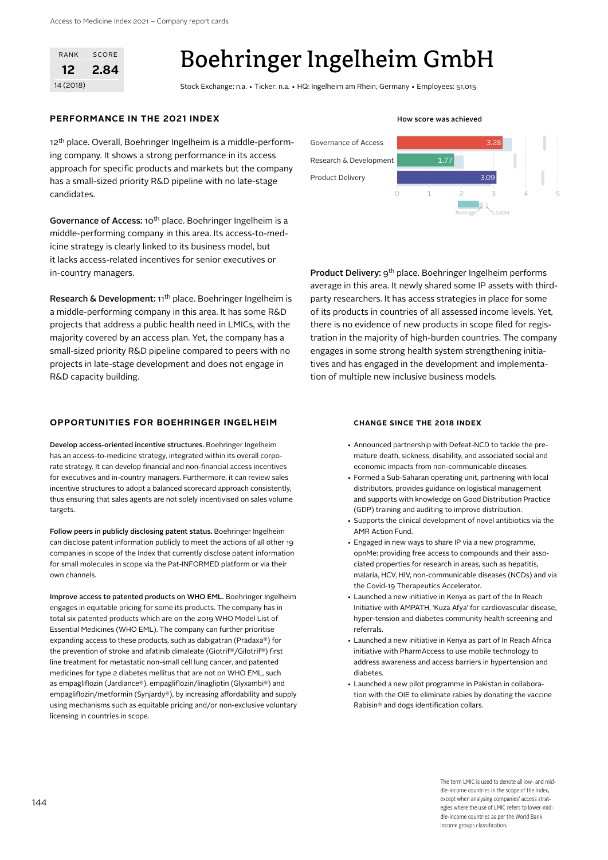| RANK      | SCORE |
|-----------|-------|
| 12        | 2.84  |
| 14 (2018) |       |

# Boehringer Ingelheim GmbH

Stock Exchange: n.a. • Ticker: n.a. • HQ: Ingelheim am Rhein, Germany • Employees: 51,015

### **PERFORMANCE IN THE 2021 INDEX How score was achieved How score was achieved**

12<sup>th</sup> place. Overall, Boehringer Ingelheim is a middle-performing company. It shows a strong performance in its access approach for specific products and markets but the company has a small-sized priority R&D pipeline with no late-stage candidates.

Governance of Access: 10<sup>th</sup> place. Boehringer Ingelheim is a middle-performing company in this area. Its access-to-medicine strategy is clearly linked to its business model, but it lacks access-related incentives for senior executives or in-country managers.

Research & Development: 11th place. Boehringer Ingelheim is a middle-performing company in this area. It has some R&D projects that address a public health need in LMICs, with the majority covered by an access plan. Yet, the company has a small-sized priority R&D pipeline compared to peers with no projects in late-stage development and does not engage in R&D capacity building.

### **OPPORTUNITIES FOR BOEHRINGER INGELHEIM CHANGE SINCE THE 2018 INDEX**

Develop access-oriented incentive structures. Boehringer Ingelheim has an access-to-medicine strategy, integrated within its overall corporate strategy. It can develop financial and non-financial access incentives for executives and in-country managers. Furthermore, it can review sales incentive structures to adopt a balanced scorecard approach consistently, thus ensuring that sales agents are not solely incentivised on sales volume targets.

Follow peers in publicly disclosing patent status. Boehringer Ingelheim can disclose patent information publicly to meet the actions of all other 19 companies in scope of the Index that currently disclose patent information for small molecules in scope via the Pat-INFORMED platform or via their own channels.

Improve access to patented products on WHO EML. Boehringer Ingelheim engages in equitable pricing for some its products. The company has in total six patented products which are on the 2019 WHO Model List of Essential Medicines (WHO EML). The company can further prioritise expanding access to these products, such as dabigatran (Pradaxa®) for the prevention of stroke and afatinib dimaleate (Giotrif®/Gilotrif®) first line treatment for metastatic non-small cell lung cancer, and patented medicines for type 2 diabetes mellitus that are not on WHO EML, such as empagliflozin (Jardiance®), empagliflozin/linagliptin (Glyxambi®) and empagliflozin/metformin (Synjardy®), by increasing affordability and supply using mechanisms such as equitable pricing and/or non-exclusive voluntary licensing in countries in scope.



Average' Leader

Product Delivery: 9th place. Boehringer Ingelheim performs average in this area. It newly shared some IP assets with thirdparty researchers. It has access strategies in place for some of its products in countries of all assessed income levels. Yet, there is no evidence of new products in scope filed for registration in the majority of high-burden countries. The company engages in some strong health system strengthening initiatives and has engaged in the development and implementation of multiple new inclusive business models.

- Announced partnership with Defeat-NCD to tackle the premature death, sickness, disability, and associated social and economic impacts from non-communicable diseases.
- Formed a Sub-Saharan operating unit, partnering with local distributors, provides guidance on logistical management and supports with knowledge on Good Distribution Practice (GDP) training and auditing to improve distribution.
- Supports the clinical development of novel antibiotics via the AMR Action Fund.
- Engaged in new ways to share IP via a new programme, opnMe: providing free access to compounds and their associated properties for research in areas, such as hepatitis, malaria, HCV, HIV, non-communicable diseases (NCDs) and via the Covid-19 Therapeutics Accelerator.
- Launched a new initiative in Kenya as part of the In Reach Initiative with AMPATH, 'Kuza Afya' for cardiovascular disease, hyper-tension and diabetes community health screening and referrals.
- Launched a new initiative in Kenya as part of In Reach Africa initiative with PharmAccess to use mobile technology to address awareness and access barriers in hypertension and diabetes.
- Launched a new pilot programme in Pakistan in collaboration with the OIE to eliminate rabies by donating the vaccine Rabisin® and dogs identification collars.

The term LMIC is used to denote all low- and middle-income countries in the scope of the Index, except when analysing companies' access strategies where the use of LMIC refers to lower-middle-income countries as per the World Bank income groups classification.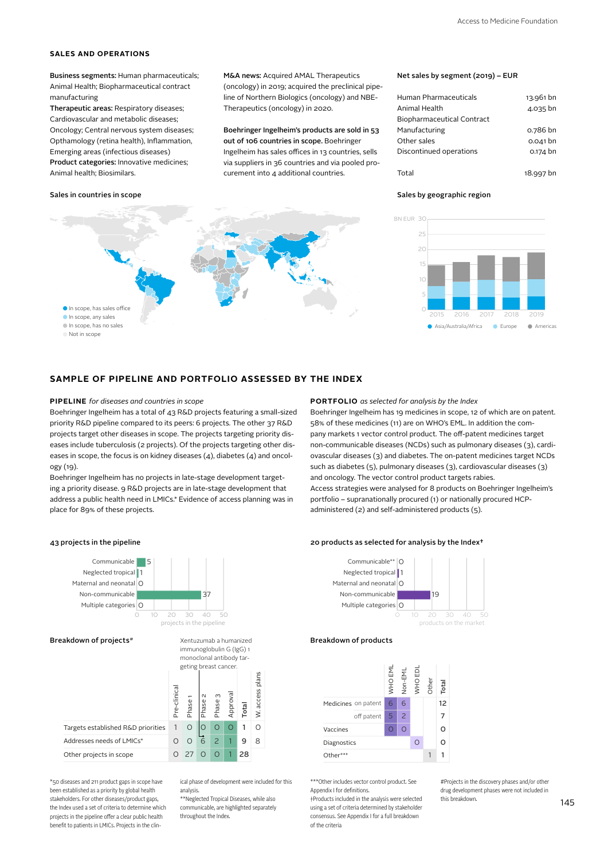### **SALES AND OPERATIONS**

Business segments: Human pharmaceuticals; Animal Health; Biopharmaceutical contract manufacturing

Therapeutic areas: Respiratory diseases; Cardiovascular and metabolic diseases; Oncology; Central nervous system diseases; Opthamology (retina health), Inflammation, Emerging areas (infectious diseases) Product categories: Innovative medicines; Animal health; Biosimilars.

### Sales in countries in scope

In scope, any sales In scope, has sales office In scope, has no sales Not in scope

M&A news: Acquired AMAL Therapeutics (oncology) in 2019; acquired the preclinical pipeline of Northern Biologics (oncology) and NBE-Therapeutics (oncology) in 2020.

Boehringer Ingelheim's products are sold in 53 out of 106 countries in scope. Boehringer Ingelheim has sales offices in 13 countries, sells via suppliers in 36 countries and via pooled procurement into 4 additional countries.



| Human Pharmaceuticals      | 13.961 bn |
|----------------------------|-----------|
| Animal Health              | 4.035 bn  |
| Biopharmaceutical Contract |           |
| Manufacturing              | o.786 bn  |
| Other sales                | 0.041 bn  |
| Discontinued operations    | 0.174 bn  |
|                            |           |

Total 18.997 bn

### Sales by geographic region



### **SAMPLE OF PIPELINE AND PORTFOLIO ASSESSED BY THE INDEX**

Boehringer Ingelheim has a total of 43 R&D projects featuring a small-sized priority R&D pipeline compared to its peers: 6 projects. The other 37 R&D projects target other diseases in scope. The projects targeting priority diseases include tuberculosis (2 projects). Of the projects targeting other diseases in scope, the focus is on kidney diseases (4), diabetes (4) and oncology (19).

Boehringer Ingelheim has no projects in late-stage development targeting a priority disease. 9 R&D projects are in late-stage development that address a public health need in LMICs.\* Evidence of access planning was in place for 89% of these projects.

### **PIPELINE** *for diseases and countries in scope* **PORTFOLIO** *as selected for analysis by the Index*

Boehringer Ingelheim has 19 medicines in scope, 12 of which are on patent. 58% of these medicines (11) are on WHO's EML. In addition the company markets 1 vector control product. The off-patent medicines target non-communicable diseases (NCDs) such as pulmonary diseases (3), cardiovascular diseases (3) and diabetes. The on-patent medicines target NCDs such as diabetes (5), pulmonary diseases (3), cardiovascular diseases (3) and oncology. The vector control product targets rabies. Access strategies were analysed for 8 products on Boehringer Ingelheim's portfolio – supranationally procured (1) or nationally procured HCPadministered (2) and self-administered products (5).

## BOI 43 projects in the pipeline 20 products as selected for analysis by the Index†



Addresses needs of LMICs\*

Other projects in scope

\*50 diseases and 211 product gaps in scope have been established as a priority by global health stakeholders. For other diseases/product gaps, the Index used a set of criteria to determine which projects in the pipeline offer a clear public health benefit to patients in LMICs. Projects in the clin-

ical phase of development were included for this analysis.

1 1

9  $28$  8

\*\*Neglected Tropical Diseases, while also communicable, are highlighted separately throughout the Index.

0 27 0 0

 $\Omega$ 





### Breakdown of products



\*\*\*Other includes vector control product. See Appendix I for definitions. †Products included in the analysis were selected

using a set of criteria determined by stakeholder consensus. See Appendix I for a full breakdown of the criteria

#Projects in the discovery phases and/or other drug development phases were not included in this breakdown.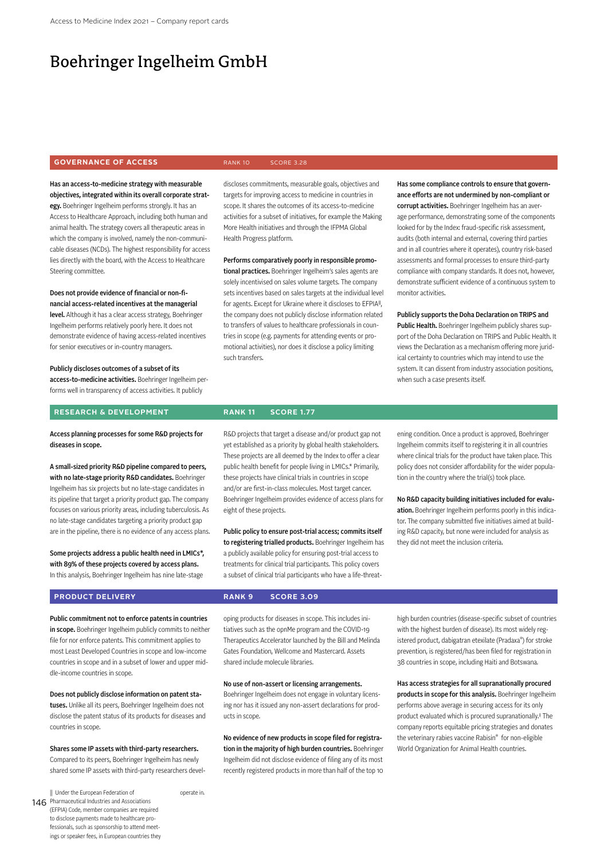# Boehringer Ingelheim GmbH

### **GOVERNANCE OF ACCESS RANK 10** SCORE 3.28

Health Progress platform.

discloses commitments, measurable goals, objectives and targets for improving access to medicine in countries in scope. It shares the outcomes of its access-to-medicine activities for a subset of initiatives, for example the Making More Health initiatives and through the IFPMA Global

Performs comparatively poorly in responsible promotional practices. Boehringer Ingelheim's sales agents are solely incentivised on sales volume targets. The company sets incentives based on sales targets at the individual level for agents. Except for Ukraine where it discloses to EFPIA<sup>II</sup>, the company does not publicly disclose information related to transfers of values to healthcare professionals in countries in scope (e.g. payments for attending events or promotional activities), nor does it disclose a policy limiting

Has an access-to-medicine strategy with measurable objectives, integrated within its overall corporate strategy. Boehringer Ingelheim performs strongly. It has an Access to Healthcare Approach, including both human and animal health. The strategy covers all therapeutic areas in which the company is involved, namely the non-communicable diseases (NCDs). The highest responsibility for access lies directly with the board, with the Access to Healthcare Steering committee.

Does not provide evidence of financial or non-financial access-related incentives at the managerial level. Although it has a clear access strategy, Boehringer Ingelheim performs relatively poorly here. It does not demonstrate evidence of having access-related incentives for senior executives or in-country managers.

Publicly discloses outcomes of a subset of its access-to-medicine activities. Boehringer Ingelheim performs well in transparency of access activities. It publicly

### **RESEARCH & DEVELOPMENT RANK 11 SCORE 1.77**

Access planning processes for some R&D projects for diseases in scope.

A small-sized priority R&D pipeline compared to peers, with no late-stage priority R&D candidates. Boehringer Ingelheim has six projects but no late-stage candidates in its pipeline that target a priority product gap. The company focuses on various priority areas, including tuberculosis. As no late-stage candidates targeting a priority product gap are in the pipeline, there is no evidence of any access plans.

Some projects address a public health need in LMICs\*, with 89% of these projects covered by access plans. In this analysis, Boehringer Ingelheim has nine late-stage

such transfers.

R&D projects that target a disease and/or product gap not yet established as a priority by global health stakeholders. These projects are all deemed by the Index to offer a clear public health benefit for people living in LMICs.\* Primarily, these projects have clinical trials in countries in scope and/or are first-in-class molecules. Most target cancer. Boehringer Ingelheim provides evidence of access plans for eight of these projects.

Public policy to ensure post-trial access; commits itself to registering trialled products. Boehringer Ingelheim has a publicly available policy for ensuring post-trial access to treatments for clinical trial participants. This policy covers a subset of clinical trial participants who have a life-threatHas some compliance controls to ensure that governance efforts are not undermined by non-compliant or corrupt activities. Boehringer Ingelheim has an average performance, demonstrating some of the components looked for by the Index: fraud-specific risk assessment, audits (both internal and external, covering third parties and in all countries where it operates), country risk-based assessments and formal processes to ensure third-party compliance with company standards. It does not, however, demonstrate sufficient evidence of a continuous system to monitor activities.

Publicly supports the Doha Declaration on TRIPS and Public Health. Boehringer Ingelheim publicly shares support of the Doha Declaration on TRIPS and Public Health. It views the Declaration as a mechanism offering more juridical certainty to countries which may intend to use the system. It can dissent from industry association positions, when such a case presents itself.

ening condition. Once a product is approved. Boehringer Ingelheim commits itself to registering it in all countries where clinical trials for the product have taken place. This policy does not consider affordability for the wider population in the country where the trial(s) took place.

No R&D capacity building initiatives included for evaluation. Boehringer Ingelheim performs poorly in this indicator. The company submitted five initiatives aimed at building R&D capacity, but none were included for analysis as they did not meet the inclusion criteria.

### **PRODUCT DELIVERY RANK 9 SCORE 3.09**

operate in.

Public commitment not to enforce patents in countries in scope. Boehringer Ingelheim publicly commits to neither file for nor enforce patents. This commitment applies to most Least Developed Countries in scope and low-income countries in scope and in a subset of lower and upper middle-income countries in scope.

Does not publicly disclose information on patent statuses. Unlike all its peers, Boehringer Ingelheim does not disclose the patent status of its products for diseases and countries in scope.

Shares some IP assets with third-party researchers. Compared to its peers, Boehringer Ingelheim has newly shared some IP assets with third-party researchers devel-

146 Pharmaceutical Industries and Associations || Under the European Federation of (EFPIA) Code, member companies are required to disclose payments made to healthcare professionals, such as sponsorship to attend meetings or speaker fees, in European countries they oping products for diseases in scope. This includes initiatives such as the opnMe program and the COVID-19 Therapeutics Accelerator launched by the Bill and Melinda Gates Foundation, Wellcome and Mastercard. Assets shared include molecule libraries.

No use of non-assert or licensing arrangements.

Boehringer Ingelheim does not engage in voluntary licensing nor has it issued any non-assert declarations for products in scope.

No evidence of new products in scope filed for registration in the majority of high burden countries. Boehringer Ingelheim did not disclose evidence of filing any of its most recently registered products in more than half of the top 10

high burden countries (disease-specific subset of countries with the highest burden of disease). Its most widely registered product, dabigatran etexilate (Pradaxa®) for stroke prevention, is registered/has been filed for registration in 38 countries in scope, including Haiti and Botswana.

Has access strategies for all supranationally procured products in scope for this analysis. Boehringer Ingelheim performs above average in securing access for its only product evaluated which is procured supranationally.‡ The company reports equitable pricing strategies and donates the veterinary rabies vaccine Rabisin® for non-eligible World Organization for Animal Health countries.